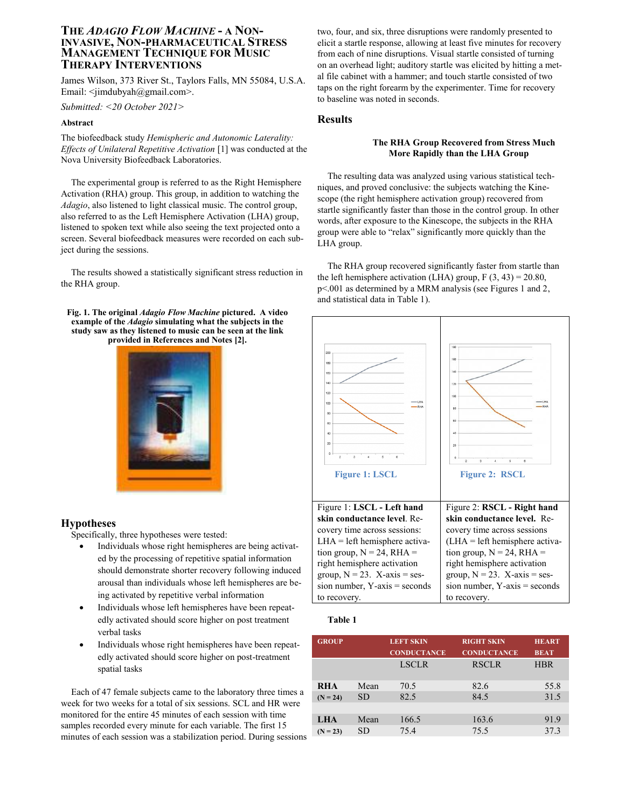# **THE** *ADAGIO FLOW MACHINE* **- A NON-INVASIVE, NON-PHARMACEUTICAL STRESS MANAGEMENT TECHNIQUE FOR MUSIC THERAPY INTERVENTIONS**

James Wilson, 373 River St., Taylors Falls, MN 55084, U.S.A. Email:  $\leq$ imdubyah $@g$ mail.com>.

*Submitted: <20 October 2021>*

### **Abstract**

The biofeedback study *Hemispheric and Autonomic Laterality: Effects of Unilateral Repetitive Activation* [1] was conducted at the Nova University Biofeedback Laboratories.

The experimental group is referred to as the Right Hemisphere Activation (RHA) group. This group, in addition to watching the *Adagio*, also listened to light classical music. The control group, also referred to as the Left Hemisphere Activation (LHA) group, listened to spoken text while also seeing the text projected onto a screen. Several biofeedback measures were recorded on each subject during the sessions.

The results showed a statistically significant stress reduction in the RHA group.

**Fig. 1. The original** *Adagio Flow Machine* **pictured. A video example of the** *Adagio* **simulating what the subjects in the study saw as they listened to music can be seen at the link provided in References and Notes [2].**



### **Hypotheses**

Specifically, three hypotheses were tested:

- Individuals whose right hemispheres are being activated by the processing of repetitive spatial information should demonstrate shorter recovery following induced arousal than individuals whose left hemispheres are being activated by repetitive verbal information
- Individuals whose left hemispheres have been repeatedly activated should score higher on post treatment verbal tasks
- Individuals whose right hemispheres have been repeatedly activated should score higher on post-treatment spatial tasks

Each of 47 female subjects came to the laboratory three times a week for two weeks for a total of six sessions. SCL and HR were monitored for the entire 45 minutes of each session with time samples recorded every minute for each variable. The first 15 minutes of each session was a stabilization period. During sessions

two, four, and six, three disruptions were randomly presented to elicit a startle response, allowing at least five minutes for recovery from each of nine disruptions. Visual startle consisted of turning on an overhead light; auditory startle was elicited by hitting a metal file cabinet with a hammer; and touch startle consisted of two taps on the right forearm by the experimenter. Time for recovery to baseline was noted in seconds.

## **Results**

#### **The RHA Group Recovered from Stress Much More Rapidly than the LHA Group**

The resulting data was analyzed using various statistical techniques, and proved conclusive: the subjects watching the Kinescope (the right hemisphere activation group) recovered from startle significantly faster than those in the control group. In other words, after exposure to the Kinescope, the subjects in the RHA group were able to "relax" significantly more quickly than the LHA group.

The RHA group recovered significantly faster from startle than the left hemisphere activation (LHA) group,  $F(3, 43) = 20.80$ , p<.001 as determined by a MRM analysis (see Figures 1 and 2, and statistical data in Table 1).



#### **Table 1**

|      | <b>LEFT SKIN</b><br><b>CONDUCTANCE</b> | <b>RIGHT SKIN</b><br><b>CONDUCTANCE</b> | <b>HEART</b><br><b>BEAT</b> |
|------|----------------------------------------|-----------------------------------------|-----------------------------|
|      | <b>LSCLR</b>                           | <b>RSCLR</b>                            | <b>HBR</b>                  |
| Mean | 70.5                                   | 82.6                                    | 55.8                        |
| SD.  | 82.5                                   | 84.5                                    | 31.5                        |
|      |                                        |                                         |                             |
| Mean | 166.5                                  | 163.6                                   | 91.9                        |
| SD   | 75.4                                   | 75.5                                    | 37.3                        |
|      |                                        |                                         |                             |